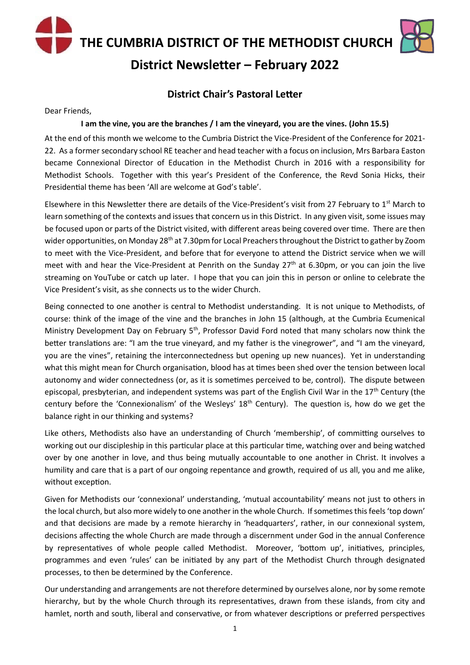**THE CUMBRIA DISTRICT OF THE METHODIST CHURCH**



**District Newsletter – February 2022**

### **District Chair's Pastoral Letter**

Dear Friends,

#### **I am the vine, you are the branches / I am the vineyard, you are the vines. (John 15.5)**

At the end of this month we welcome to the Cumbria District the Vice-President of the Conference for 2021- 22. As a former secondary school RE teacher and head teacher with a focus on inclusion, Mrs Barbara Easton became Connexional Director of Education in the Methodist Church in 2016 with a responsibility for Methodist Schools. Together with this year's President of the Conference, the Revd Sonia Hicks, their Presidential theme has been 'All are welcome at God's table'.

Elsewhere in this Newsletter there are details of the Vice-President's visit from 27 February to 1<sup>st</sup> March to learn something of the contexts and issues that concern us in this District. In any given visit, some issues may be focused upon or parts of the District visited, with different areas being covered over time. There are then wider opportunities, on Monday 28<sup>th</sup> at 7.30pm for Local Preachers throughout the District to gather by Zoom to meet with the Vice-President, and before that for everyone to attend the District service when we will meet with and hear the Vice-President at Penrith on the Sunday 27<sup>th</sup> at 6.30pm, or you can join the live streaming on YouTube or catch up later. I hope that you can join this in person or online to celebrate the Vice President's visit, as she connects us to the wider Church.

Being connected to one another is central to Methodist understanding. It is not unique to Methodists, of course: think of the image of the vine and the branches in John 15 (although, at the Cumbria Ecumenical Ministry Development Day on February 5<sup>th</sup>, Professor David Ford noted that many scholars now think the better translations are: "I am the true vineyard, and my father is the vinegrower", and "I am the vineyard, you are the vines", retaining the interconnectedness but opening up new nuances). Yet in understanding what this might mean for Church organisation, blood has at times been shed over the tension between local autonomy and wider connectedness (or, as it is sometimes perceived to be, control). The dispute between episcopal, presbyterian, and independent systems was part of the English Civil War in the 17<sup>th</sup> Century (the century before the 'Connexionalism' of the Wesleys' 18<sup>th</sup> Century). The question is, how do we get the balance right in our thinking and systems?

Like others, Methodists also have an understanding of Church 'membership', of committing ourselves to working out our discipleship in this particular place at this particular time, watching over and being watched over by one another in love, and thus being mutually accountable to one another in Christ. It involves a humility and care that is a part of our ongoing repentance and growth, required of us all, you and me alike, without exception.

Given for Methodists our 'connexional' understanding, 'mutual accountability' means not just to others in the local church, but also more widely to one another in the whole Church. If sometimes this feels 'top down' and that decisions are made by a remote hierarchy in 'headquarters', rather, in our connexional system, decisions affecting the whole Church are made through a discernment under God in the annual Conference by representatives of whole people called Methodist. Moreover, 'bottom up', initiatives, principles, programmes and even 'rules' can be initiated by any part of the Methodist Church through designated processes, to then be determined by the Conference.

Our understanding and arrangements are not therefore determined by ourselves alone, nor by some remote hierarchy, but by the whole Church through its representatives, drawn from these islands, from city and hamlet, north and south, liberal and conservative, or from whatever descriptions or preferred perspectives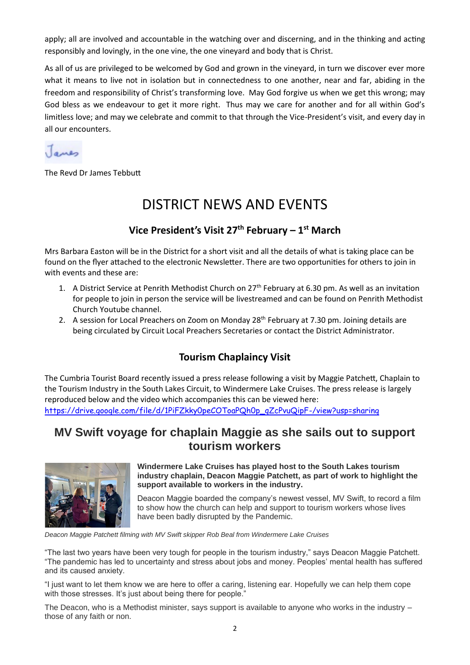apply; all are involved and accountable in the watching over and discerning, and in the thinking and acting responsibly and lovingly, in the one vine, the one vineyard and body that is Christ.

As all of us are privileged to be welcomed by God and grown in the vineyard, in turn we discover ever more what it means to live not in isolation but in connectedness to one another, near and far, abiding in the freedom and responsibility of Christ's transforming love. May God forgive us when we get this wrong; may God bless as we endeavour to get it more right. Thus may we care for another and for all within God's limitless love; and may we celebrate and commit to that through the Vice-President's visit, and every day in all our encounters.



The Revd Dr James Tebbutt

# DISTRICT NEWS AND EVENTS

## **Vice President's Visit 27th February – 1 st March**

Mrs Barbara Easton will be in the District for a short visit and all the details of what is taking place can be found on the flyer attached to the electronic Newsletter. There are two opportunities for others to join in with events and these are:

- 1. A District Service at Penrith Methodist Church on 27<sup>th</sup> February at 6.30 pm. As well as an invitation for people to join in person the service will be livestreamed and can be found on Penrith Methodist Church Youtube channel.
- 2. A session for Local Preachers on Zoom on Monday 28<sup>th</sup> February at 7.30 pm. Joining details are being circulated by Circuit Local Preachers Secretaries or contact the District Administrator.

## **Tourism Chaplaincy Visit**

The Cumbria Tourist Board recently issued a press release following a visit by Maggie Patchett, Chaplain to the Tourism Industry in the South Lakes Circuit, to Windermere Lake Cruises. The press release is largely reproduced below and the video which accompanies this can be viewed here: [https://drive.google.com/file/d/1PiFZkky0peCOToaPQh0p\\_qZcPvuQipF-/view?usp=sharing](https://drive.google.com/file/d/1PiFZkky0peCOToaPQh0p_qZcPvuQipF-/view?usp=sharing)

# **MV Swift voyage for chaplain Maggie as she sails out to support tourism workers**



#### **Windermere Lake Cruises has played host to the South Lakes tourism industry chaplain, Deacon Maggie Patchett, as part of work to highlight the support available to workers in the industry.**

Deacon Maggie boarded the company's newest vessel, MV Swift, to record a film to show how the church can help and support to tourism workers whose lives have been badly disrupted by the Pandemic.

*Deacon Maggie Patchett filming with MV Swift skipper Rob Beal from Windermere Lake Cruises*

"The last two years have been very tough for people in the tourism industry," says Deacon Maggie Patchett. "The pandemic has led to uncertainty and stress about jobs and money. Peoples' mental health has suffered and its caused anxiety.

"I just want to let them know we are here to offer a caring, listening ear. Hopefully we can help them cope with those stresses. It's just about being there for people."

The Deacon, who is a Methodist minister, says support is available to anyone who works in the industry – those of any faith or non.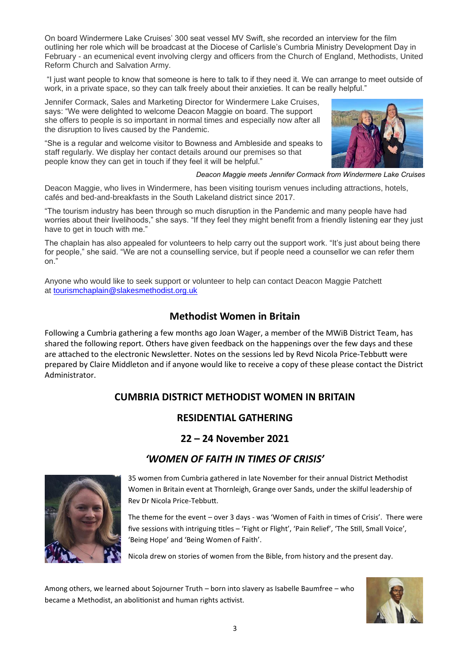On board Windermere Lake Cruises' 300 seat vessel MV Swift, she recorded an interview for the film outlining her role which will be broadcast at the Diocese of Carlisle's Cumbria Ministry Development Day in February - an ecumenical event involving clergy and officers from the Church of England, Methodists, United Reform Church and Salvation Army.

"I just want people to know that someone is here to talk to if they need it. We can arrange to meet outside of work, in a private space, so they can talk freely about their anxieties. It can be really helpful."

Jennifer Cormack, Sales and Marketing Director for Windermere Lake Cruises, says: "We were delighted to welcome Deacon Maggie on board. The support she offers to people is so important in normal times and especially now after all the disruption to lives caused by the Pandemic.

"She is a regular and welcome visitor to Bowness and Ambleside and speaks to staff regularly. We display her contact details around our premises so that people know they can get in touch if they feel it will be helpful."



*Deacon Maggie meets Jennifer Cormack from Windermere Lake Cruises*

Deacon Maggie, who lives in Windermere, has been visiting tourism venues including attractions, hotels, cafés and bed-and-breakfasts in the South Lakeland district since 2017.

"The tourism industry has been through so much disruption in the Pandemic and many people have had worries about their livelihoods," she says. "If they feel they might benefit from a friendly listening ear they just have to get in touch with me."

The chaplain has also appealed for volunteers to help carry out the support work. "It's just about being there for people," she said. "We are not a counselling service, but if people need a counsellor we can refer them on."

Anyone who would like to seek support or volunteer to help can contact Deacon Maggie Patchett at [tourismchaplain@slakesmethodist.org.uk](mailto:tourismchaplain@slakesmethodist.org.uk)

### **Methodist Women in Britain**

Following a Cumbria gathering a few months ago Joan Wager, a member of the MWiB District Team, has shared the following report. Others have given feedback on the happenings over the few days and these are attached to the electronic Newsletter. Notes on the sessions led by Revd Nicola Price-Tebbutt were prepared by Claire Middleton and if anyone would like to receive a copy of these please contact the District Administrator.

### **CUMBRIA DISTRICT METHODIST WOMEN IN BRITAIN**

### **RESIDENTIAL GATHERING**

**22 – 24 November 2021** 

# *'WOMEN OF FAITH IN TIMES OF CRISIS'*



35 women from Cumbria gathered in late November for their annual District Methodist Women in Britain event at Thornleigh, Grange over Sands, under the skilful leadership of Rev Dr Nicola Price-Tebbutt.

The theme for the event – over 3 days - was 'Women of Faith in times of Crisis'. There were five sessions with intriguing titles – 'Fight or Flight', 'Pain Relief', 'The Still, Small Voice', 'Being Hope' and 'Being Women of Faith'.

Nicola drew on stories of women from the Bible, from history and the present day.

Among others, we learned about Sojourner Truth – born into slavery as Isabelle Baumfree – who became a Methodist, an abolitionist and human rights activist.

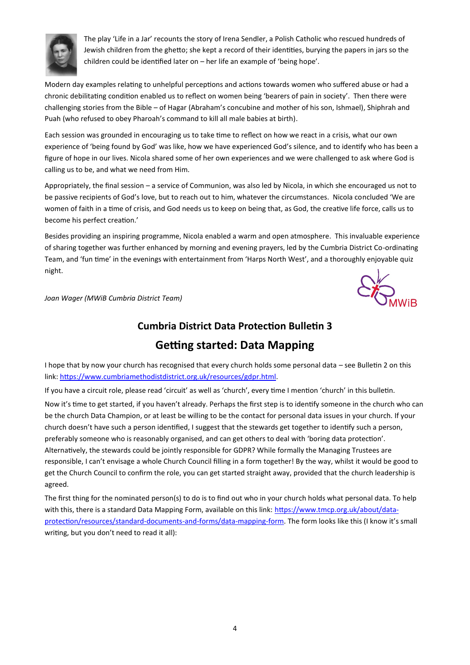

The play 'Life in a Jar' recounts the story of Irena Sendler, a Polish Catholic who rescued hundreds of Jewish children from the ghetto; she kept a record of their identities, burying the papers in jars so the children could be identified later on – her life an example of 'being hope'.

Modern day examples relating to unhelpful perceptions and actions towards women who suffered abuse or had a chronic debilitating condition enabled us to reflect on women being 'bearers of pain in society'. Then there were challenging stories from the Bible – of Hagar (Abraham's concubine and mother of his son, Ishmael), Shiphrah and Puah (who refused to obey Pharoah's command to kill all male babies at birth).

Each session was grounded in encouraging us to take time to reflect on how we react in a crisis, what our own experience of 'being found by God' was like, how we have experienced God's silence, and to identify who has been a figure of hope in our lives. Nicola shared some of her own experiences and we were challenged to ask where God is calling us to be, and what we need from Him.

Appropriately, the final session – a service of Communion, was also led by Nicola, in which she encouraged us not to be passive recipients of God's love, but to reach out to him, whatever the circumstances. Nicola concluded 'We are women of faith in a time of crisis, and God needs us to keep on being that, as God, the creative life force, calls us to become his perfect creation.'

Besides providing an inspiring programme, Nicola enabled a warm and open atmosphere. This invaluable experience of sharing together was further enhanced by morning and evening prayers, led by the Cumbria District Co-ordinating Team, and 'fun time' in the evenings with entertainment from 'Harps North West', and a thoroughly enjoyable quiz night.



*Joan Wager (MWiB Cumbria District Team)*

## **Cumbria District Data Protection Bulletin 3**

# **Getting started: Data Mapping**

I hope that by now your church has recognised that every church holds some personal data – see Bulletin 2 on this link: [https://www.cumbriamethodistdistrict.org.uk/resources/gdpr.html.](https://www.cumbriamethodistdistrict.org.uk/resources/gdpr.html)

If you have a circuit role, please read 'circuit' as well as 'church', every time I mention 'church' in this bulletin.

Now it's time to get started, if you haven't already. Perhaps the first step is to identify someone in the church who can be the church Data Champion, or at least be willing to be the contact for personal data issues in your church. If your church doesn't have such a person identified, I suggest that the stewards get together to identify such a person, preferably someone who is reasonably organised, and can get others to deal with 'boring data protection'. Alternatively, the stewards could be jointly responsible for GDPR? While formally the Managing Trustees are responsible, I can't envisage a whole Church Council filling in a form together! By the way, whilst it would be good to get the Church Council to confirm the role, you can get started straight away, provided that the church leadership is agreed.

The first thing for the nominated person(s) to do is to find out who in your church holds what personal data. To help with this, there is a standard Data Mapping Form, available on this link: [https://www.tmcp.org.uk/about/data](https://www.tmcp.org.uk/about/data-protection/resources/standard-documents-and-forms/data-mapping-form)[protection/resources/standard-documents-and-forms/data-mapping-form.](https://www.tmcp.org.uk/about/data-protection/resources/standard-documents-and-forms/data-mapping-form) The form looks like this (I know it's small writing, but you don't need to read it all):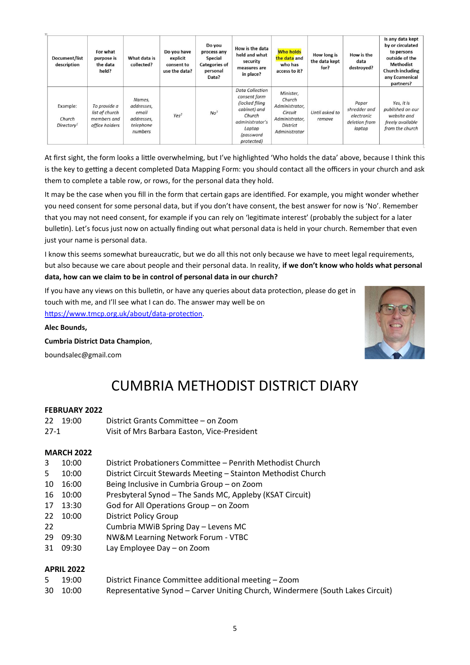| Document/list<br>description                 | For what<br>purpose is<br>the data<br>held?                     | What data is<br>collected?                                          | Do you have<br>explicit<br>consent to<br>use the data? | Do you<br>process any<br>Special<br><b>Categories of</b><br>personal<br>Data? | How is the data<br>held and what<br>security<br>measures are<br>in place?                                                                  | <b>Who holds</b><br>the data and<br>who has<br>access to it?                                           | How long is<br>the data kept<br>for? | How is the<br>data<br>destroyed?                               | Is any data kept<br>by or circulated<br>to persons<br>outside of the<br><b>Methodist</b><br><b>Church including</b><br>any Ecumenical<br>partners? |
|----------------------------------------------|-----------------------------------------------------------------|---------------------------------------------------------------------|--------------------------------------------------------|-------------------------------------------------------------------------------|--------------------------------------------------------------------------------------------------------------------------------------------|--------------------------------------------------------------------------------------------------------|--------------------------------------|----------------------------------------------------------------|----------------------------------------------------------------------------------------------------------------------------------------------------|
| Example:<br>Church<br>Directorv <sup>1</sup> | To provide a<br>list of church<br>members and<br>office holders | Names.<br>addresses,<br>email<br>addresses,<br>telephone<br>numbers | Yes <sup>2</sup>                                       | No <sup>3</sup>                                                               | <b>Data Collection</b><br>consent form<br>(locked filing<br>cabinet) and<br>Church<br>administrator's<br>Laptop<br>(password<br>protected) | Minister,<br>Church<br>Administrator,<br>Circuit<br>Administrator,<br><b>District</b><br>Administrator | Until asked to<br>remove             | Paper<br>shredder and<br>electronic<br>deletion from<br>laptop | Yes, it is<br>published on our<br>website and<br>freely available<br>from the church                                                               |

At first sight, the form looks a little overwhelming, but I've highlighted 'Who holds the data' above, because I think this is the key to getting a decent completed Data Mapping Form: you should contact all the officers in your church and ask them to complete a table row, or rows, for the personal data they hold.

It may be the case when you fill in the form that certain gaps are identified. For example, you might wonder whether you need consent for some personal data, but if you don't have consent, the best answer for now is 'No'. Remember that you may not need consent, for example if you can rely on 'legitimate interest' (probably the subject for a later bulletin). Let's focus just now on actually finding out what personal data is held in your church. Remember that even just your name is personal data.

I know this seems somewhat bureaucratic, but we do all this not only because we have to meet legal requirements, but also because we care about people and their personal data. In reality, **if we don't know who holds what personal data, how can we claim to be in control of personal data in our church?**

If you have any views on this bulletin, or have any queries about data protection, please do get in touch with me, and I'll see what I can do. The answer may well be on [https://www.tmcp.org.uk/about/data-protection.](https://www.tmcp.org.uk/about/data-protection)

#### **Alec Bounds,**

**Cumbria District Data Champion**,

boundsalec@gmail.com



# CUMBRIA METHODIST DISTRICT DIARY

#### **FEBRUARY 2022**

|        | 22 19:00 | District Grants Committee – on Zoom         |
|--------|----------|---------------------------------------------|
| $27-1$ |          | Visit of Mrs Barbara Easton, Vice-President |

#### **MARCH 2022**

- 3 10:00 District Probationers Committee Penrith Methodist Church
- 5 10:00 District Circuit Stewards Meeting Stainton Methodist Church
- 10 16:00 Being Inclusive in Cumbria Group on Zoom
- 16 10:00 Presbyteral Synod The Sands MC, Appleby (KSAT Circuit)
- 17 13:30 God for All Operations Group on Zoom
- 22 10:00 District Policy Group
- 22 Cumbria MWiB Spring Day Levens MC
- 29 09:30 NW&M Learning Network Forum VTBC
- 31 09:30 Lay Employee Day on Zoom

#### **APRIL 2022**

- 5 19:00 District Finance Committee additional meeting Zoom
- 30 10:00 Representative Synod Carver Uniting Church, Windermere (South Lakes Circuit)